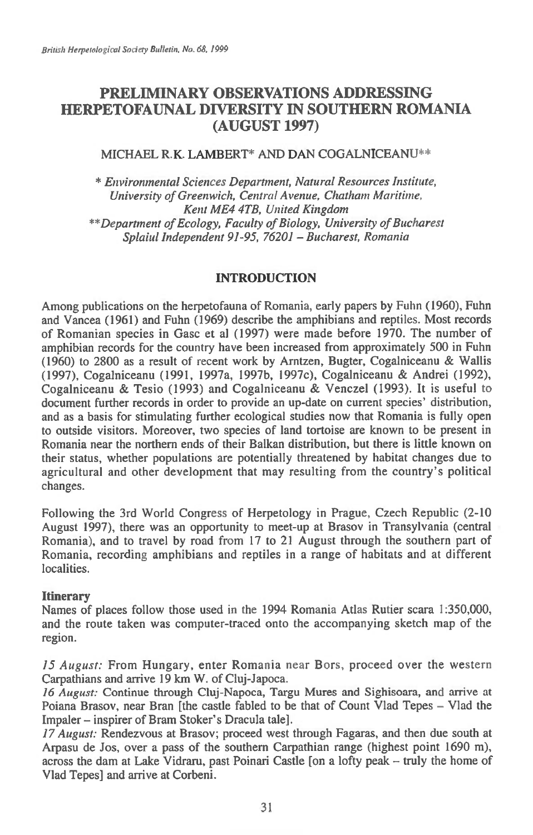# **PRELIMINARY OBSERVATIONS ADDRESSING HERPETOFAUNAL DIVERSITY IN SOUTHERN ROMANIA (AUGUST 1997)**

### MICHAEL R.K. LAMBERT\* AND DAN COGALNICEANU\*\*

*\* Environmental Sciences Department, Natural Resources Institute, University of Greenwich, Central Avenue, Chatham Maritime, Kent ME4 4TB, United Kingdom \*\*Department of Ecology, Faculty of Biology, University of Bucharest Splaiul Independent 91-95, 76201 — Bucharest, Romania* 

# **INTRODUCTION**

Among publications on the herpetofauna of Romania, early papers by Fuhn (1960), Fuhn and Vancea (1961) and Fuhn (1969) describe the amphibians and reptiles. Most records of Romanian species in Gasc et al (1997) were made before 1970. The number of amphibian records for the country have been increased from approximately 500 in Fuhn (1960) to 2800 as a result of recent work by Arntzen, Bugter, Cogalniceanu & Wallis (1997), Cogalniceanu (1991, 1997a, 1997b, 1997c), Cogalniceanu & Andrei (1992), Cogalniceanu & Tesio (1993) and Cogalniceanu & Venczel (1993). It is useful to document further records in order to provide an up-date on current species' distribution, and as a basis for stimulating further ecological studies now that Romania is fully open to outside visitors. Moreover, two species of land tortoise are known to be present in Romania near the northern ends of their Balkan distribution, but there is little known on their status, whether populations are potentially threatened by habitat changes due to agricultural and other development that may resulting from the country's political changes.

Following the 3rd World Congress of Herpetology in Prague, Czech Republic (2-10 August 1997), there was an opportunity to meet-up at Brasov in Transylvania (central Romania), and to travel by road from 17 to 21 August through the southern part of Romania, recording amphibians and reptiles in a range of habitats and at different localities.

#### **Itinerary**

Names of places follow those used in the 1994 Romania Atlas Rutier scara 1:350,000, and the route taken was computer-traced onto the accompanying sketch map of the region.

*15 August:* From Hungary, enter Romania near Bors, proceed over the western Carpathians and arrive 19 km W. of Cluj-Japoca.

*16 August:* Continue through Cluj-Napoca, Targu Mures and Sighisoara, and arrive at Poiana Brasov, near Bran [the castle fabled to be that of Count Vlad Tepes — Vlad the Impaler — inspirer of Bram Stoker's Dracula tale].

17 *August:* Rendezvous at Brasov; proceed west through Fagaras, and then due south at Arpasu de Jos, over a pass of the southern Carpathian range (highest point 1690 m), across the dam at Lake Vidraru, past Poinari Castle [on a lofty peak — truly the home of Vlad Tepes] and arrive at Corbeni.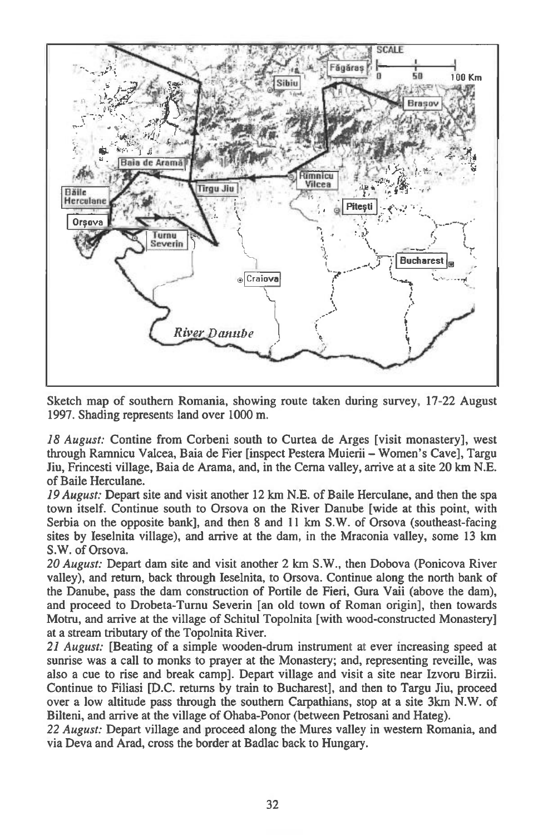

Sketch map of southern Romania, showing route taken during survey, 17-22 August 1997. Shading represents land over 1000 m.

*18 August:* Contine from Corbeni south to Curtea de Arges [visit monastery], west through Ramnicu Valcea, Baia de Fier [inspect Pestera Muierii — Women's Cave], Targu Jiu, Frincesti village, Baia de Arama, and, in the Cerna valley, arrive at a site 20 km N.E. of Baile Herculane.

*19 August:* Depart site and visit another 12 km N.E. of Baile Herculane, and then the spa town itself. Continue south to Orsova on the River Danube [wide at this point, with Serbia on the opposite bank], and then 8 and 11 km S.W. of Orsova (southeast-facing sites by Ieselnita village), and arrive at the dam, in the Mraconia valley, some 13 km S.W. of Orsova.

*20 August:* Depart dam site and visit another 2 km S.W., then Dobova (Ponicova River valley), and return, back through Ieselnita, to Orsova. Continue along the north bank of the Danube, pass the dam construction of Portile de Fieri, Gura Vaii (above the dam), and proceed to Drobeta-Turnu Severin [an old town of Roman origin], then towards Motru, and arrive at the village of Schitul Topolnita [with wood-constructed Monastery] at a stream tributary of the Topolnita River.

*21 August:* [Beating of a simple wooden-drum instrument at ever increasing speed at sunrise was a call to monks to prayer at the Monastery; and, representing reveille, was also a cue to rise and break camp]. Depart village and visit a site near Izvoru Birzii. Continue to Filiasi [D.C. returns by train to Bucharest], and then to Targu Jiu, proceed over a low altitude pass through the southern Carpathians, stop at a site 3km N.W. of Bilteni, and arrive at the village of Ohaba-Ponor (between Petrosani and Hateg).

*22 August:* Depart village and proceed along the Mures valley in western Romania, and via Deva and Arad, cross the border at Badlac back to Hungary.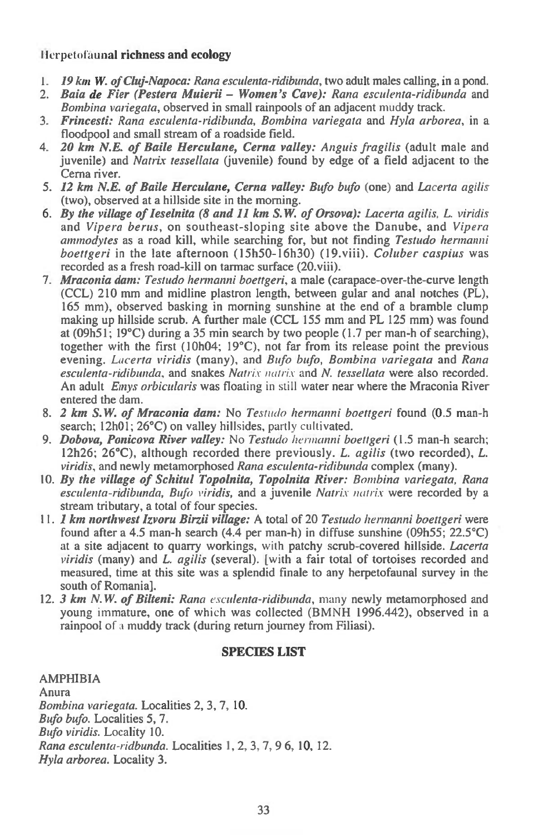# I lerpetofaunal **richness and ecology**

- *1. 19 km W. of Cluj-Napoca: Rana esculenta-ridibunda,* **two adult males calling, in a pond.**
- *2. Baia de Fier (Pestera Muierii Women's Cave): Rana esculenta-ridibunda* **and**  *Bombina variegata,* **observed in small rainpools of an adjacent muddy track.**
- *3. Frincesti: Rana esculenta-ridibunda, Bombina variegata* **and** *Hyla arborea,* **in a floodpool and small stream of a roadside field.**
- *4. 20 km N.E. of Baile Herculane, Cerna valley: Anguis fragilis* **(adult male and juvenile) and** *Natrix tessellata* **(juvenile) found by edge of a field adjacent to the Cerna river.**
- *5. 12 km N.E. of Baile Herculane, Cerna valley: Bufo bufo* **(one) and** *Lacerta agilis*  **(two), observed at a hillside site in the morning.**
- *6. By the village of leselnita (8 and 11 km S. W. of Orsova): Lacerta agilis, L. viridis*  **and** *Vipera berus,* **on southeast-sloping site above the Danube, and** *Vipera ammodytes as* **a road kill, while searching for, but not finding** *Testudo hermanni boettgeri* **in the late afternoon (15h50-16h30) (19.viii).** *Coluber caspius* **was recorded as a fresh road-kill on tarmac surface (20.viii).**
- *7. Mraconia dam: Testudo hermanni boettgeri,* **a male (carapace-over-the-curve length (CCL) 210 mm and midline plastron length, between gular and anal notches (PL), 165 mm), observed basking in morning sunshine at the end of a bramble clump making up hillside scrub. A further male (CCL 155 mm and PL 125 mm) was found at (09h51; 19°C) during a 35 min search by two people (1.7 per man-h of searching), together with the first (10h04; 19°C), not far from its release point the previous evening.** *Lacerta viridis* **(many), and** *Bufo bufo, Bombina variegata* **and** *Rana esculenta-ridibunda,* **and snakes** *Natrix nutria* **and** *N. tessellata* **were also recorded. An adult** *Emys orbicularis* **was** *floating in* still **water near where the Mraconia River entered the dam.**
- *8. 2 kin S. W. of Mraconia dam:* **No** *Testudo hermanni boettgeri* **found (0.5 man-h search; 12h01; 26°C) on valley hillsides, partly cultivated.**
- *9. Dobova, Ponicova River valley:* **No** *Testudo hermanni boettgeri* **(1.5 man-h search; 12h26; 26°C), although recorded there previously.** *L. agilis* **(two recorded),** *L. viridis,* **and newly metamorphosed** *Rana esculenta-ridibunda* **complex (many).**
- *10. By the village of Schitul Topolnita, Topolnita River: Bombina variegata, Rana esculenta-ridibunda, Bufo viridis,* **and a juvenile** *Natrix natrix* **were recorded by a stream tributary, a total of four species.**
- **II.** *1 kin northwest Izvoru Birzii village:* **A total of 20** *Testudo hermanni boettgeri* **were found after a 4.5 man-h search (4.4 per man-h) in diffuse sunshine (09h55; 22.5°C)**  at **a site adjacent to quarry workings,** with **patchy scrub-covered hillside.** *Lacerta viridis* **(many) and** *L. agilis* **(several). [with a fair total of tortoises recorded and measured, time at this site was a splendid finale to any herpetofaunal survey in the south of Romania].**
- **12.** *3 km N.W. of Bilteni: Rana esculenta-ridibunda,* many **newly metamorphosed and young immature, one of which was collected (BMNH 1996.442), observed in a rainpool** of a **muddy track (during return journey from Filiasi).**

#### **SPECIES LIST**

**AMPHIBIA Anura**  *Bombina variegata.* **Localities 2, 3, 7, 10.**  *Bufo bufo.* **Localities 5, 7.**  *Bufo viridis.* Locality **10.**  *Rana esculenta-ridbunda.* **Localities 1, 2, 3, 7, 9 6, 10, 12.**  *Hyla arborea.* **Locality 3.**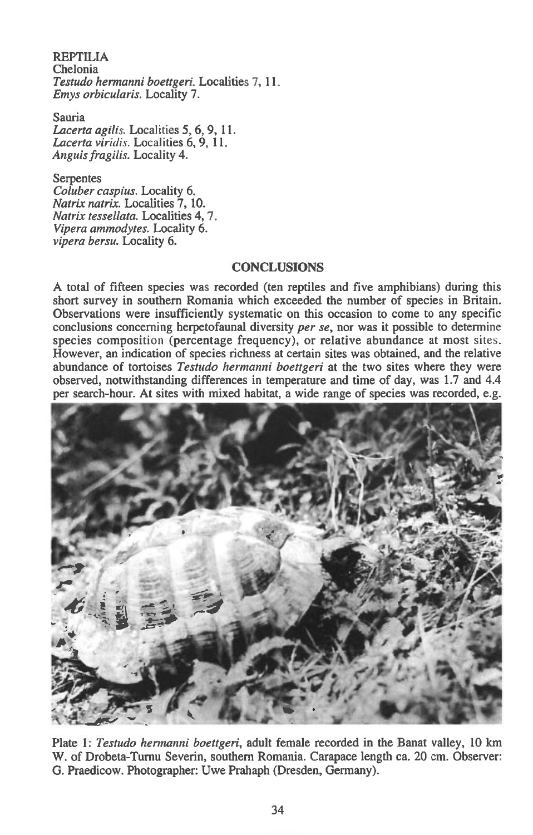REPTILIA Chelonia *Testudo hermanni boettgeri.* Localities 7, 11. *Emys orbicularis.* Locality 7.

Sauria *Lacerta agilis.* Localities 5, 6, 9, 11. *Lacerta viridis.* Localities 6, 9, 11. *Anguis fragilis.* Locality 4.

#### Serpentes

*Coluber caspius.* Locality 6. *Natrix natrix.* Localities 7, 10. *Natrix tessellata.* Localities 4, *7. Vipera ammodytes.* Locality 6. *vipera bersu.* Locality 6.

# **CONCLUSIONS**

A total of fifteen species was recorded (ten reptiles and five amphibians) during this short survey in southern Romania which exceeded the number of species in Britain. Observations were insufficiently systematic on this occasion to come to any specific conclusions concerning herpetofaunal diversity *per se,* nor was it possible to determine species composition (percentage frequency), or relative abundance at most sites. However, an indication of species richness at certain sites was obtained, and the relative abundance of tortoises *Testudo hermanni boettgeri at the* two sites where they were observed, notwithstanding differences in temperature and time of day, was 1.7 and 4.4 per search-hour. At sites with mixed habitat, a wide range of species was recorded, e.g.



Plate 1: *Testudo hermanni boettgeri,* adult female recorded in the Banat valley, 10 km W. of Drobeta-Turnu Severin, southern Romania. Carapace length ca. 20 cm. Observer: G. Praedicow. Photographer: Uwe Prahaph (Dresden, Germany).